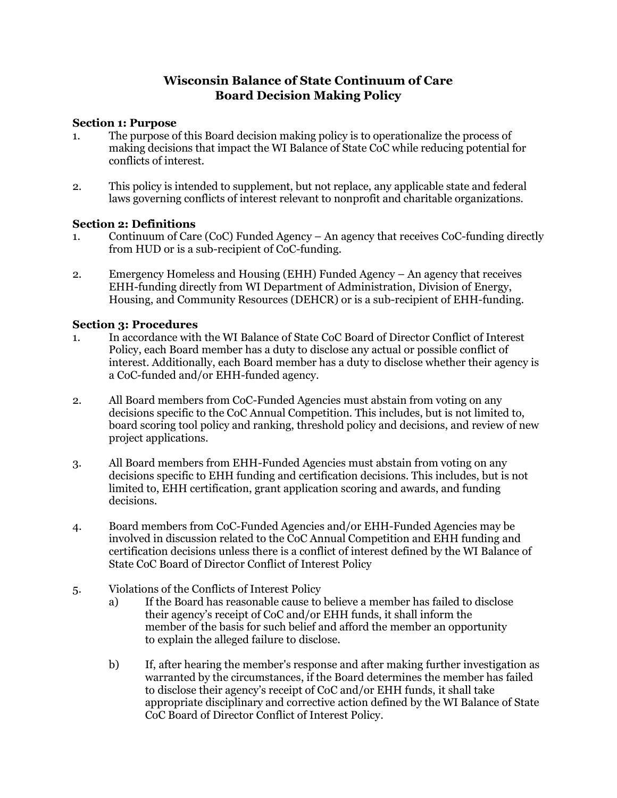## **Wisconsin Balance of State Continuum of Care Board Decision Making Policy**

## **Section 1: Purpose**

- 1. The purpose of this Board decision making policy is to operationalize the process of making decisions that impact the WI Balance of State CoC while reducing potential for conflicts of interest.
- 2. This policy is intended to supplement, but not replace, any applicable state and federal laws governing conflicts of interest relevant to nonprofit and charitable organizations.

## **Section 2: Definitions**

- 1. Continuum of Care (CoC) Funded Agency An agency that receives CoC-funding directly from HUD or is a sub-recipient of CoC-funding.
- 2. Emergency Homeless and Housing (EHH) Funded Agency An agency that receives EHH-funding directly from WI Department of Administration, Division of Energy, Housing, and Community Resources (DEHCR) or is a sub-recipient of EHH-funding.

## **Section 3: Procedures**

- 1. In accordance with the WI Balance of State CoC Board of Director Conflict of Interest Policy, each Board member has a duty to disclose any actual or possible conflict of interest. Additionally, each Board member has a duty to disclose whether their agency is a CoC-funded and/or EHH-funded agency.
- 2. All Board members from CoC-Funded Agencies must abstain from voting on any decisions specific to the CoC Annual Competition. This includes, but is not limited to, board scoring tool policy and ranking, threshold policy and decisions, and review of new project applications.
- 3. All Board members from EHH-Funded Agencies must abstain from voting on any decisions specific to EHH funding and certification decisions. This includes, but is not limited to, EHH certification, grant application scoring and awards, and funding decisions.
- 4. Board members from CoC-Funded Agencies and/or EHH-Funded Agencies may be involved in discussion related to the CoC Annual Competition and EHH funding and certification decisions unless there is a conflict of interest defined by the WI Balance of State CoC Board of Director Conflict of Interest Policy
- 5. Violations of the Conflicts of Interest Policy
	- a) If the Board has reasonable cause to believe a member has failed to disclose their agency's receipt of CoC and/or EHH funds, it shall inform the member of the basis for such belief and afford the member an opportunity to explain the alleged failure to disclose.
	- b) If, after hearing the member's response and after making further investigation as warranted by the circumstances, if the Board determines the member has failed to disclose their agency's receipt of CoC and/or EHH funds, it shall take appropriate disciplinary and corrective action defined by the WI Balance of State CoC Board of Director Conflict of Interest Policy.